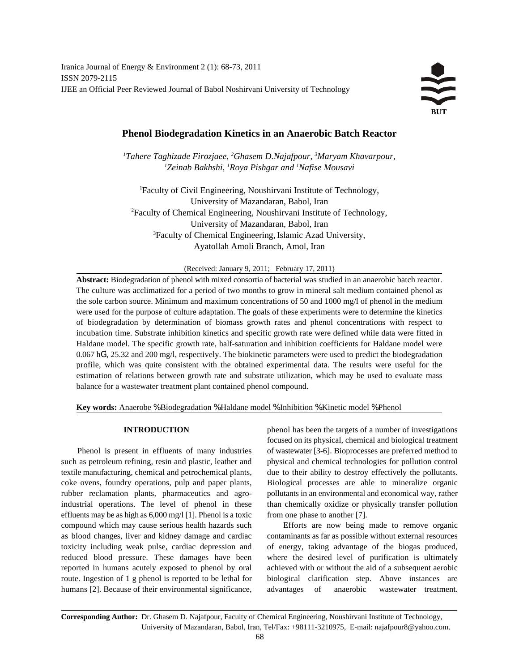Iranica Journal of Energy & Environment 2 (1): 68-73, 2011 ISSN 2079-2115 IJEE an Official Peer Reviewed Journal of Babol Noshirvani University of Technology

# **Phenol Biodegradation Kinetics in an Anaerobic Batch Reactor**

*Tahere Taghizade Firozjaee, Ghasem D.Najafpour, Maryam Khavarpour, <sup>1</sup> <sup>2</sup> <sup>3</sup> Zeinab Bakhshi, Roya Pishgar and Nafise Mousavi <sup>1</sup> <sup>1</sup> <sup>1</sup>*

Faculty of Civil Engineering, Noushirvani Institute of Technology, <sup>1</sup> University of Mazandaran, Babol, Iran <sup>2</sup>Faculty of Chemical Engineering, Noushirvani Institute of Technology, University of Mazandaran, Babol, Iran Faculty of Chemical Engineering, Islamic Azad University, <sup>3</sup> Ayatollah Amoli Branch, Amol, Iran

(Received: January 9, 2011; February 17, 2011)

**Abstract:** Biodegradation of phenol with mixed consortia of bacterial was studied in an anaerobic batch reactor. The culture was acclimatized for a period of two months to grow in mineral salt medium contained phenol as the sole carbon source. Minimum and maximum concentrations of 50 and 1000 mg/l of phenol in the medium were used for the purpose of culture adaptation. The goals of these experiments were to determine the kinetics of biodegradation by determination of biomass growth rates and phenol concentrations with respect to incubation time. Substrate inhibition kinetics and specific growth rate were defined while data were fitted in Haldane model. The specific growth rate, half-saturation and inhibition coefficients for Haldane model were  $0.067$  hG<sup>1</sup>, 25.32 and 200 mg/l, respectively. The biokinetic parameters were used to predict the biodegradation profile, which was quite consistent with the obtained experimental data. The results were useful for the estimation of relations between growth rate and substrate utilization, which may be used to evaluate mass balance for a wastewater treatment plant contained phenol compound.

**Key words:** Anaerobe % Biodegradation % Haldane model % Inhibition % Kinetic model % Phenol

such as petroleum refining, resin and plastic, leather and physical and chemical technologies for pollution control textile manufacturing, chemical and petrochemical plants, due to their ability to destroy effectively the pollutants. coke ovens, foundry operations, pulp and paper plants, Biological processes are able to mineralize organic rubber reclamation plants, pharmaceutics and agro- pollutants in an environmental and economical way, rather industrial operations. The level of phenol in these than chemically oxidize or physically transfer pollution effluents may be as high as  $6,000 \text{ mg}/\sqrt{11}$ . Phenol is a toxic from one phase to another [7]. compound which may cause serious health hazards such Efforts are now being made to remove organic as blood changes, liver and kidney damage and cardiac contaminants as far as possible without external resources toxicity including weak pulse, cardiac depression and of energy, taking advantage of the biogas produced, reduced blood pressure. These damages have been where the desired level of purification is ultimately reported in humans acutely exposed to phenol by oral achieved with or without the aid of a subsequent aerobic route. Ingestion of 1 g phenol is reported to be lethal for biological clarification step. Above instances are humans [2]. Because of their environmental significance, advantages of anaerobic wastewater treatment.

**INTRODUCTION** phenol has been the targets of a number of investigations Phenol is present in effluents of many industries of wastewater [3-6]. Bioprocesses are preferred method to focused on its physical, chemical and biological treatment

**Corresponding Author:** Dr. Ghasem D. Najafpour, Faculty of Chemical Engineering, Noushirvani Institute of Technology, University of Mazandaran, Babol, Iran, Tel/Fax: +98111-3210975, E-mail: najafpour8@yahoo.com.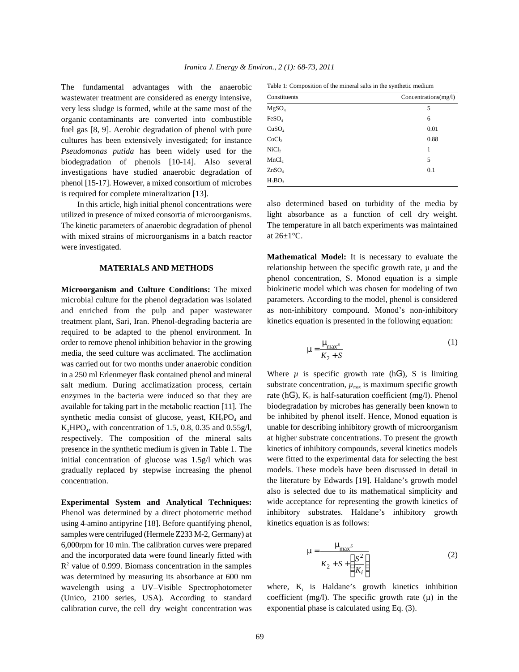The fundamental advantages with the anaerobic wastewater treatment are considered as energy intensive, very less sludge is formed, while at the same most of the organic contaminants are converted into combustible fuel gas [8, 9]. Aerobic degradation of phenol with pure cultures has been extensively investigated; for instance *Pseudomonas putida* has been widely used for the biodegradation of phenols [10-14]. Also several investigations have studied anaerobic degradation of phenol [15-17]. However, a mixed consortium of microbes is required for complete mineralization [13].

In this article, high initial phenol concentrations were utilized in presence of mixed consortia of microorganisms. The kinetic parameters of anaerobic degradation of phenol with mixed strains of microorganisms in a batch reactor were investigated.

## **MATERIALS AND METHODS**

**Microorganism and Culture Conditions:** The mixed microbial culture for the phenol degradation was isolated and enriched from the pulp and paper wastewater treatment plant, Sari, Iran. Phenol-degrading bacteria are required to be adapted to the phenol environment. In order to remove phenol inhibition behavior in the growing media, the seed culture was acclimated. The acclimation was carried out for two months under anaerobic condition in a 250 ml Erlenmeyer flask contained phenol and mineral salt medium. During acclimatization process, certain enzymes in the bacteria were induced so that they are available for taking part in the metabolic reaction [11]. The synthetic media consist of glucose, yeast,  $KH_2PO_4$  and  $K_2HPO_4$ , with concentration of 1.5, 0.8, 0.35 and 0.55g/l, respectively. The composition of the mineral salts presence in the synthetic medium is given in Table 1. The initial concentration of glucose was 1.5g/l which was gradually replaced by stepwise increasing the phenol concentration.

**Experimental System and Analytical Techniques:** Phenol was determined by a direct photometric method using 4-amino antipyrine [18]. Before quantifying phenol, samples were centrifuged (Hermele Z233 M-2, Germany) at 6,000rpm for 10 min. The calibration curves were prepared and the incorporated data were found linearly fitted with  $R<sup>2</sup>$  value of 0.999. Biomass concentration in the samples was determined by measuring its absorbance at 600 nm wavelength using a UV–Visible Spectrophotometer (Unico, 2100 series, USA). According to standard calibration curve, the cell dry weight concentration was

Table 1: Composition of the mineral salts in the synthetic medium

| Constituents      | Concentrations(mg/l) |
|-------------------|----------------------|
| MgSO <sub>4</sub> | 5                    |
| FeSO <sub>4</sub> | 6                    |
| CuSO <sub>4</sub> | 0.01                 |
| CoCl <sub>2</sub> | 0.88                 |
| NiCl <sub>2</sub> | 1                    |
| MnCl <sub>2</sub> | 5                    |
| ZnSO <sub>4</sub> | 0.1                  |
| $H_3BO_3$         |                      |

also determined based on turbidity of the media by light absorbance as a function of cell dry weight. The temperature in all batch experiments was maintained at  $26\pm1\degree$ C.

**Mathematical Model:** It is necessary to evaluate the relationship between the specific growth rate,  $\mu$  and the phenol concentration, S. Monod equation is a simple biokinetic model which was chosen for modeling of two parameters. According to the model, phenol is considered as non-inhibitory compound. Monod's non-inhibitory kinetics equation is presented in the following equation:

$$
m = \frac{m_{\text{max}}s}{K_2 + S} \tag{1}
$$

Where  $\mu$  is specific growth rate (hG<sup>1</sup>), S is limiting substrate concentration,  $\mu_{\text{max}}$  is maximum specific growth rate (hG<sup>1</sup>),  $K_2$  is half-saturation coefficient (mg/l). Phenol biodegradation by microbes has generally been known to be inhibited by phenol itself. Hence, Monod equation is unable for describing inhibitory growth of microorganism at higher substrate concentrations. To present the growth kinetics of inhibitory compounds, several kinetics models were fitted to the experimental data for selecting the best models. These models have been discussed in detail in the literature by Edwards [19]. Haldane's growth model also is selected due to its mathematical simplicity and wide acceptance for representing the growth kinetics of inhibitory substrates. Haldane's inhibitory growth kinetics equation is as follows:

$$
\mathbf{m} = \frac{\mathbf{m}_{\text{max}}s}{K_2 + S + \left(\frac{S^2}{K_i}\right)}
$$
(2)

where,  $K_i$  is Haldane's growth kinetics inhibition coefficient (mg/l). The specific growth rate  $(\mu)$  in the exponential phase is calculated using Eq. (3).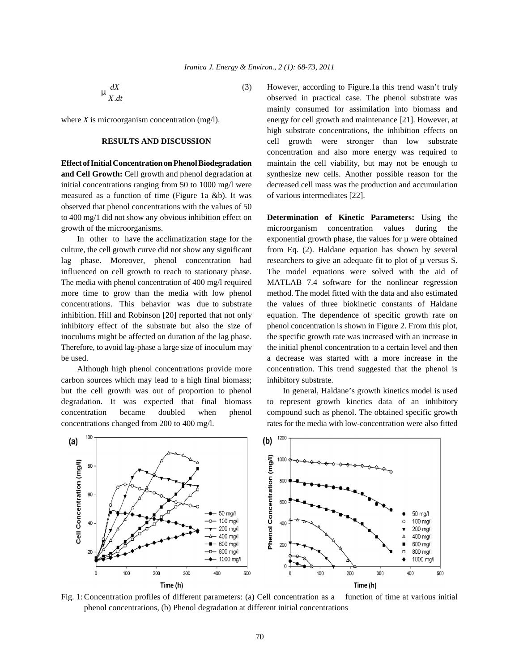. *dX*  $\sum_{X \cdot dt}^{u \cdot x}$ 

measured as a function of time (Figure 1a &b). It was of various intermediates [22]. observed that phenol concentrations with the values of 50 to 400 mg/1 did not show any obvious inhibition effect on **Determination of Kinetic Parameters:** Using the growth of the microorganisms. The microorganism concentration values during the

culture, the cell growth curve did not show any significant from Eq. (2). Haldane equation has shown by several lag phase. Moreover, phenol concentration had researchers to give an adequate fit to plot of  $\mu$  versus S. influenced on cell growth to reach to stationary phase. The model equations were solved with the aid of The media with phenol concentration of 400 mg/l required MATLAB 7.4 software for the nonlinear regression more time to grow than the media with low phenol method. The model fitted with the data and also estimated concentrations. This behavior was due to substrate the values of three biokinetic constants of Haldane inhibition. Hill and Robinson [20] reported that not only equation. The dependence of specific growth rate on inhibitory effect of the substrate but also the size of phenol concentration is shown in Figure 2. From this plot, inoculums might be affected on duration of the lag phase. the specific growth rate was increased with an increase in Therefore, to avoid lag-phase a large size of inoculum may the initial phenol concentration to a certain level and then be used. a decrease was started with a more increase in the

carbon sources which may lead to a high final biomass; inhibitory substrate. but the cell growth was out of proportion to phenol In general, Haldane's growth kinetics model is used

(3) However, according to Figure.1a this trend wasn't truly where *X* is microorganism concentration (mg/l). energy for cell growth and maintenance [21]. However, at **RESULTS AND DISCUSSION** cell growth were stronger than low substrate **Effect of Initial Concentration on Phenol Biodegradation** maintain the cell viability, but may not be enough to **and Cell Growth:** Cell growth and phenol degradation at synthesize new cells. Another possible reason for the initial concentrations ranging from 50 to 1000 mg/l were decreased cell mass was the production and accumulation observed in practical case. The phenol substrate was mainly consumed for assimilation into biomass and high substrate concentrations, the inhibition effects on concentration and also more energy was required to

In other to have the acclimatization stage for the exponential growth phase, the values for  $\mu$  were obtained Although high phenol concentrations provide more concentration. This trend suggested that the phenol is

degradation. It was expected that final biomass to represent growth kinetics data of an inhibitory concentration became doubled when phenol compound such as phenol. The obtained specific growth concentrations changed from 200 to 400 mg/l. rates for the media with low-concentration were also fitted



Fig. 1: Concentration profiles of different parameters: (a) Cell concentration as a function of time at various initial phenol concentrations, (b) Phenol degradation at different initial concentrations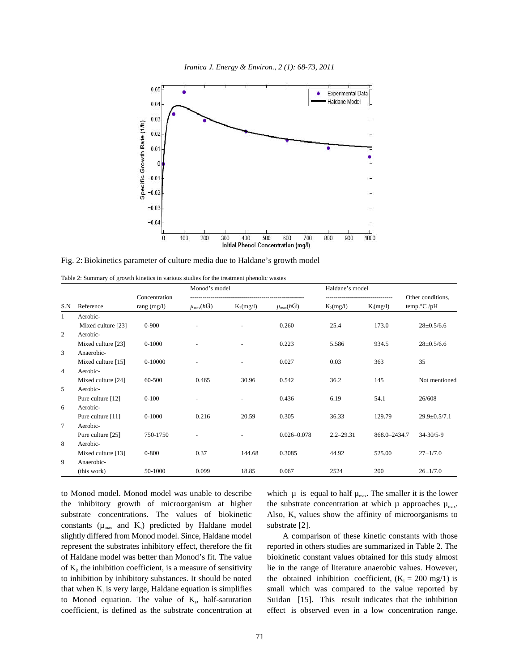

Fig. 2: Biokinetics parameter of culture media due to Haldane's growth model

Table 2: Summary of growth kinetics in various studies for the treatment phenolic wastes

|                | Reference          | Concentration<br>rang $(mg/l)$ | Monod's model               |                          |                             | Haldane's model |              |                                                     |
|----------------|--------------------|--------------------------------|-----------------------------|--------------------------|-----------------------------|-----------------|--------------|-----------------------------------------------------|
| S.N            |                    |                                | $\mu_{\max}(h\mathsf{G}^1)$ | $K_2(mg/l)$              | $\mu_{\max}(h\mathsf{G}^1)$ | $K_2(mg/l)$     | $K_i(mg/l)$  | Other conditions,<br>temp. $\mathrm{C}/\mathrm{pH}$ |
| 1              | Aerobic-           |                                |                             |                          |                             |                 |              |                                                     |
|                | Mixed culture [23] | $0 - 900$                      |                             |                          | 0.260                       | 25.4            | 173.0        | $28 \pm 0.5/6.6$                                    |
| 2              | Aerobic-           |                                |                             |                          |                             |                 |              |                                                     |
|                | Mixed culture [23] | $0-1000$                       |                             |                          | 0.223                       | 5.586           | 934.5        | $28 \pm 0.5/6.6$                                    |
| 3              | Anaerobic-         |                                |                             |                          |                             |                 |              |                                                     |
|                | Mixed culture [15] | 0-10000                        |                             | $\overline{\phantom{a}}$ | 0.027                       | 0.03            | 363          | 35                                                  |
| $\overline{4}$ | Aerobic-           |                                |                             |                          |                             |                 |              |                                                     |
|                | Mixed culture [24] | 60-500                         | 0.465                       | 30.96                    | 0.542                       | 36.2            | 145          | Not mentioned                                       |
| 5              | Aerobic-           |                                |                             |                          |                             |                 |              |                                                     |
|                | Pure culture [12]  | $0 - 100$                      |                             |                          | 0.436                       | 6.19            | 54.1         | 26/608                                              |
| 6              | Aerobic-           |                                |                             |                          |                             |                 |              |                                                     |
|                | Pure culture [11]  | 0-1000                         | 0.216                       | 20.59                    | 0.305                       | 36.33           | 129.79       | $29.9 \pm 0.5/7.1$                                  |
| $\tau$         | Aerobic-           |                                |                             |                          |                             |                 |              |                                                     |
|                | Pure culture [25]  | 750-1750                       |                             |                          | $0.026 - 0.078$             | $2.2 - 29.31$   | 868.0-2434.7 | $34 - 30/5 - 9$                                     |
| 8              | Aerobic-           |                                |                             |                          |                             |                 |              |                                                     |
|                | Mixed culture [13] | $0 - 800$                      | 0.37                        | 144.68                   | 0.3085                      | 44.92           | 525.00       | $27 \pm 1/7.0$                                      |
| 9              | Anaerobic-         |                                |                             |                          |                             |                 |              |                                                     |
|                | (this work)        | 50-1000                        | 0.099                       | 18.85                    | 0.067                       | 2524            | 200          | $26 \pm 1/7.0$                                      |

to Monod model. Monod model was unable to describe which  $\mu$  is equal to half  $\mu_{\text{max}}$ . The smaller it is the lower the inhibitory growth of microorganism at higher the substrate concentration at which  $\mu$  approaches  $\mu_{\text{max}}$ . substrate concentrations. The values of biokinetic Also,  $K_s$  values show the affinity of microorganisms to constants  $(\mu_{\text{max}}$  and  $K_s)$  predicted by Haldane model substrate [2]. slightly differed from Monod model. Since, Haldane model A comparison of these kinetic constants with those represent the substrates inhibitory effect, therefore the fit reported in others studies are summarized in Table 2. The of Haldane model was better than Monod's fit. The value biokinetic constant values obtained for this study almost of  $K<sub>i</sub>$ , the inhibition coefficient, is a measure of sensitivity lie in the range of literature anaerobic values. However, to inhibition by inhibitory substances. It should be noted the obtained inhibition coefficient,  $(K_i = 200 \text{ mg}/1)$  is that when  $K_i$  is very large, Haldane equation is simplifies to Monod equation. The value of  $K_s$ , half-saturation coefficient, is defined as the substrate concentration at effect is observed even in a low concentration range.

small which was compared to the value reported by Suidan [15]. This result indicates that the inhibition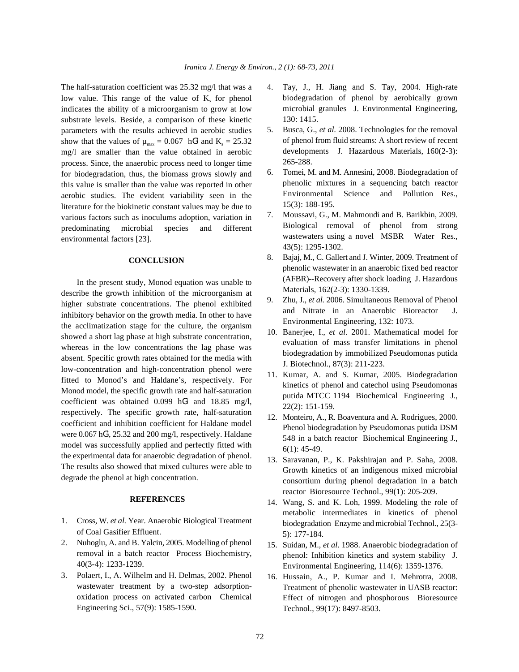low value. This range of the value of  $K_s$  for phenol indicates the ability of a microorganism to grow at low substrate levels. Beside, a comparison of these kinetic parameters with the results achieved in aerobic studies show that the values of  $\mu_{\text{max}} = 0.067 \text{ hG}^1$  and  $K_s = 25.32$ mg/l are smaller than the value obtained in aerobic process. Since, the anaerobic process need to longer time for biodegradation, thus, the biomass grows slowly and this value is smaller than the value was reported in other aerobic studies. The evident variability seen in the literature for the biokinetic constant values may be due to various factors such as inoculums adoption, variation in predominating microbial species and different environmental factors [23].

# **CONCLUSION**

In the present study, Monod equation was unable to describe the growth inhibition of the microorganism at higher substrate concentrations. The phenol exhibited inhibitory behavior on the growth media. In other to have the acclimatization stage for the culture, the organism showed a short lag phase at high substrate concentration, whereas in the low concentrations the lag phase was absent. Specific growth rates obtained for the media with low-concentration and high-concentration phenol were fitted to Monod's and Haldane's, respectively. For Monod model, the specific growth rate and half-saturation coefficient was obtained  $0.099$  hG<sup>1</sup> and 18.85 mg/l, respectively. The specific growth rate, half-saturation coefficient and inhibition coefficient for Haldane model were  $0.067 \text{ hG}^1$ ,  $25.32$  and  $200 \text{ mg/l}$ , respectively. Haldane model was successfully applied and perfectly fitted with the experimental data for anaerobic degradation of phenol. The results also showed that mixed cultures were able to degrade the phenol at high concentration.

### **REFERENCES**

- 1. Cross, W. *et al.* Year. Anaerobic Biological Treatment of Coal Gasifier Effluent.
- 2. Nuhoglu, A. and B. Yalcin, 2005. Modelling of phenol removal in a batch reactor Process Biochemistry, 40(3-4): 1233-1239.
- 3. Polaert, I., A. Wilhelm and H. Delmas, 2002. Phenol wastewater treatment by a two-step adsorptionoxidation process on activated carbon Chemical Engineering Sci., 57(9): 1585-1590.
- The half-saturation coefficient was 25.32 mg/l that was a 4. Tay, J., H. Jiang and S. Tay, 2004. High-rate biodegradation of phenol by aerobically grown microbial granules J. Environmental Engineering, 130: 1415.
	- 5. Busca, G., *et al.* 2008. Technologies for the removal of phenol from fluid streams: A short review of recent developments J. Hazardous Materials, 160(2-3): 265-288.
	- 6. Tomei, M. and M. Annesini, 2008. Biodegradation of phenolic mixtures in a sequencing batch reactor Environmental Science and Pollution Res., 15(3): 188-195.
	- 7. Moussavi, G., M. Mahmoudi and B. Barikbin, 2009. Biological removal of phenol from strong wastewaters using a novel MSBR Water Res., 43(5): 1295-1302.
	- 8. Bajaj, M., C. Gallert and J. Winter, 2009. Treatment of phenolic wastewater in an anaerobic fixed bed reactor (AFBR)--Recovery after shock loading J. Hazardous Materials, 162(2-3): 1330-1339.
	- 9. Zhu, J., *et al.* 2006. Simultaneous Removal of Phenol and Nitrate in an Anaerobic Bioreactor J. Environmental Engineering, 132: 1073.
	- 10. Banerjee, I., *et al.* 2001. Mathematical model for evaluation of mass transfer limitations in phenol biodegradation by immobilized Pseudomonas putida J. Biotechnol., 87(3): 211-223.
	- 11. Kumar, A. and S. Kumar, 2005. Biodegradation kinetics of phenol and catechol using Pseudomonas putida MTCC 1194 Biochemical Engineering J., 22(2): 151-159.
	- 12. Monteiro, A., R. Boaventura and A. Rodrigues, 2000. Phenol biodegradation by Pseudomonas putida DSM 548 in a batch reactor Biochemical Engineering J., 6(1): 45-49.
	- 13. Saravanan, P., K. Pakshirajan and P. Saha, 2008. Growth kinetics of an indigenous mixed microbial consortium during phenol degradation in a batch reactor Bioresource Technol., 99(1): 205-209.
	- 14. Wang, S. and K. Loh, 1999. Modeling the role of metabolic intermediates in kinetics of phenol biodegradation Enzyme and microbial Technol., 25(3- 5): 177-184.
	- 15. Suidan, M., *et al.* 1988. Anaerobic biodegradation of phenol: Inhibition kinetics and system stability J. Environmental Engineering, 114(6): 1359-1376.
	- 16. Hussain, A., P. Kumar and I. Mehrotra, 2008. Treatment of phenolic wastewater in UASB reactor: Effect of nitrogen and phosphorous Bioresource Technol., 99(17): 8497-8503.